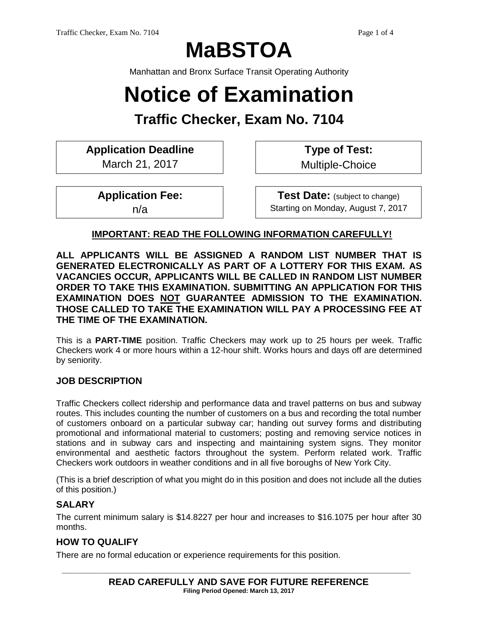# **MaBSTOA**

Manhattan and Bronx Surface Transit Operating Authority

# **Notice of Examination**

# **Traffic Checker, Exam No. 7104**

**Application Deadline**

March 21, 2017

**Type of Test:**  Multiple-Choice

**Application Fee:** 

n/a

**Test Date:** (subject to change) Starting on Monday, August 7, 2017

# **IMPORTANT: READ THE FOLLOWING INFORMATION CAREFULLY!**

**ALL APPLICANTS WILL BE ASSIGNED A RANDOM LIST NUMBER THAT IS GENERATED ELECTRONICALLY AS PART OF A LOTTERY FOR THIS EXAM. AS VACANCIES OCCUR, APPLICANTS WILL BE CALLED IN RANDOM LIST NUMBER ORDER TO TAKE THIS EXAMINATION. SUBMITTING AN APPLICATION FOR THIS EXAMINATION DOES NOT GUARANTEE ADMISSION TO THE EXAMINATION. THOSE CALLED TO TAKE THE EXAMINATION WILL PAY A PROCESSING FEE AT THE TIME OF THE EXAMINATION.**

This is a **PART-TIME** position. Traffic Checkers may work up to 25 hours per week. Traffic Checkers work 4 or more hours within a 12-hour shift. Works hours and days off are determined by seniority.

# **JOB DESCRIPTION**

Traffic Checkers collect ridership and performance data and travel patterns on bus and subway routes. This includes counting the number of customers on a bus and recording the total number of customers onboard on a particular subway car; handing out survey forms and distributing promotional and informational material to customers; posting and removing service notices in stations and in subway cars and inspecting and maintaining system signs. They monitor environmental and aesthetic factors throughout the system. Perform related work. Traffic Checkers work outdoors in weather conditions and in all five boroughs of New York City.

(This is a brief description of what you might do in this position and does not include all the duties of this position.)

#### **SALARY**

The current minimum salary is \$14.8227 per hour and increases to \$16.1075 per hour after 30 months.

# **HOW TO QUALIFY**

There are no formal education or experience requirements for this position.

**\_\_\_\_\_\_\_\_\_\_\_\_\_\_\_\_\_\_\_\_\_\_\_\_\_\_\_\_\_\_\_\_\_\_\_\_\_\_\_\_\_\_\_\_\_\_\_\_\_\_\_\_\_\_\_\_\_\_\_\_\_\_\_\_\_\_\_\_\_\_\_\_\_**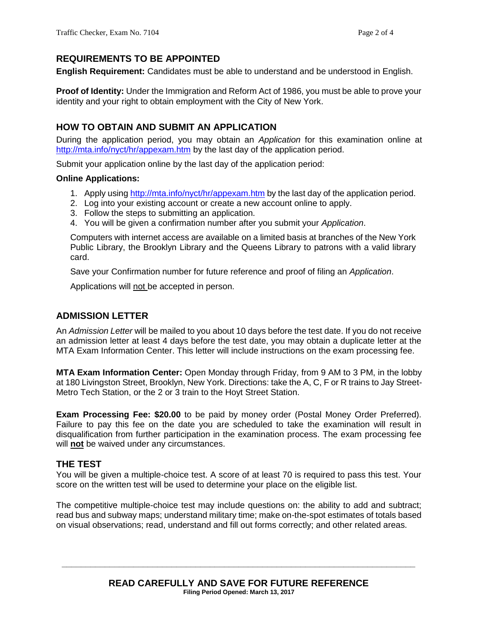# **REQUIREMENTS TO BE APPOINTED**

**English Requirement:** Candidates must be able to understand and be understood in English.

**Proof of Identity:** Under the Immigration and Reform Act of 1986, you must be able to prove your identity and your right to obtain employment with the City of New York.

# **HOW TO OBTAIN AND SUBMIT AN APPLICATION**

During the application period, you may obtain an *Application* for this examination online at <http://mta.info/nyct/hr/appexam.htm> by the last day of the application period.

Submit your application online by the last day of the application period:

#### **Online Applications:**

- 1. Apply using<http://mta.info/nyct/hr/appexam.htm> by the last day of the application period.
- 2. Log into your existing account or create a new account online to apply.
- 3. Follow the steps to submitting an application.
- 4. You will be given a confirmation number after you submit your *Application*.

Computers with internet access are available on a limited basis at branches of the New York Public Library, the Brooklyn Library and the Queens Library to patrons with a valid library card.

Save your Confirmation number for future reference and proof of filing an *Application*.

Applications will not be accepted in person.

# **ADMISSION LETTER**

An *Admission Letter* will be mailed to you about 10 days before the test date. If you do not receive an admission letter at least 4 days before the test date, you may obtain a duplicate letter at the MTA Exam Information Center. This letter will include instructions on the exam processing fee.

**MTA Exam Information Center:** Open Monday through Friday, from 9 AM to 3 PM, in the lobby at 180 Livingston Street, Brooklyn, New York. Directions: take the A, C, F or R trains to Jay Street-Metro Tech Station, or the 2 or 3 train to the Hoyt Street Station.

**Exam Processing Fee: \$20.00** to be paid by money order (Postal Money Order Preferred). Failure to pay this fee on the date you are scheduled to take the examination will result in disqualification from further participation in the examination process. The exam processing fee will **not** be waived under any circumstances.

# **THE TEST**

You will be given a multiple-choice test. A score of at least 70 is required to pass this test. Your score on the written test will be used to determine your place on the eligible list.

The competitive multiple-choice test may include questions on: the ability to add and subtract; read bus and subway maps; understand military time; make on-the-spot estimates of totals based on visual observations; read, understand and fill out forms correctly; and other related areas.

**\_\_\_\_\_\_\_\_\_\_\_\_\_\_\_\_\_\_\_\_\_\_\_\_\_\_\_\_\_\_\_\_\_\_\_\_\_\_\_\_\_\_\_\_\_\_\_\_\_\_\_\_\_\_\_\_\_\_\_\_\_\_\_\_\_\_\_\_\_\_\_\_\_\_**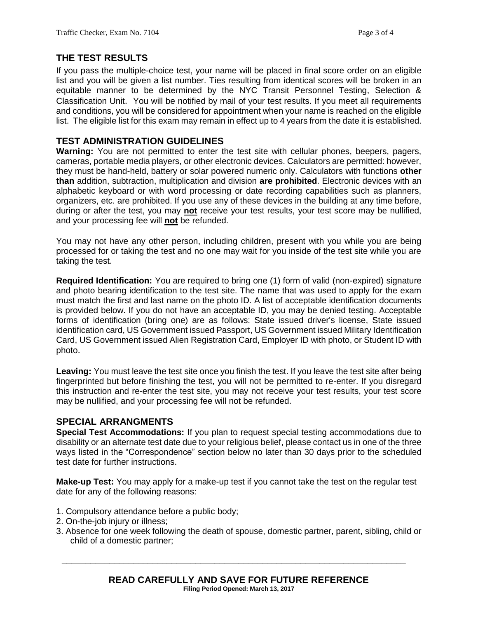# **THE TEST RESULTS**

If you pass the multiple-choice test, your name will be placed in final score order on an eligible list and you will be given a list number. Ties resulting from identical scores will be broken in an equitable manner to be determined by the NYC Transit Personnel Testing, Selection & Classification Unit. You will be notified by mail of your test results. If you meet all requirements and conditions, you will be considered for appointment when your name is reached on the eligible list. The eligible list for this exam may remain in effect up to 4 years from the date it is established.

# **TEST ADMINISTRATION GUIDELINES**

**Warning:** You are not permitted to enter the test site with cellular phones, beepers, pagers, cameras, portable media players, or other electronic devices. Calculators are permitted: however, they must be hand-held, battery or solar powered numeric only. Calculators with functions **other than** addition, subtraction, multiplication and division **are prohibited**. Electronic devices with an alphabetic keyboard or with word processing or date recording capabilities such as planners, organizers, etc. are prohibited. If you use any of these devices in the building at any time before, during or after the test, you may **not** receive your test results, your test score may be nullified, and your processing fee will **not** be refunded.

You may not have any other person, including children, present with you while you are being processed for or taking the test and no one may wait for you inside of the test site while you are taking the test.

**Required Identification:** You are required to bring one (1) form of valid (non-expired) signature and photo bearing identification to the test site. The name that was used to apply for the exam must match the first and last name on the photo ID. A list of acceptable identification documents is provided below. If you do not have an acceptable ID, you may be denied testing. Acceptable forms of identification (bring one) are as follows: State issued driver's license, State issued identification card, US Government issued Passport, US Government issued Military Identification Card, US Government issued Alien Registration Card, Employer ID with photo, or Student ID with photo.

**Leaving:** You must leave the test site once you finish the test. If you leave the test site after being fingerprinted but before finishing the test, you will not be permitted to re-enter. If you disregard this instruction and re-enter the test site, you may not receive your test results, your test score may be nullified, and your processing fee will not be refunded.

# **SPECIAL ARRANGMENTS**

**Special Test Accommodations:** If you plan to request special testing accommodations due to disability or an alternate test date due to your religious belief, please contact us in one of the three ways listed in the "Correspondence" section below no later than 30 days prior to the scheduled test date for further instructions.

**Make-up Test:** You may apply for a make-up test if you cannot take the test on the regular test date for any of the following reasons:

- 1. Compulsory attendance before a public body;
- 2. On-the-job injury or illness;
- 3. Absence for one week following the death of spouse, domestic partner, parent, sibling, child or child of a domestic partner;

**\_\_\_\_\_\_\_\_\_\_\_\_\_\_\_\_\_\_\_\_\_\_\_\_\_\_\_\_\_\_\_\_\_\_\_\_\_\_\_\_\_\_\_\_\_\_\_\_\_\_\_\_\_\_\_\_\_\_\_\_\_\_\_\_\_\_\_\_\_\_\_\_**